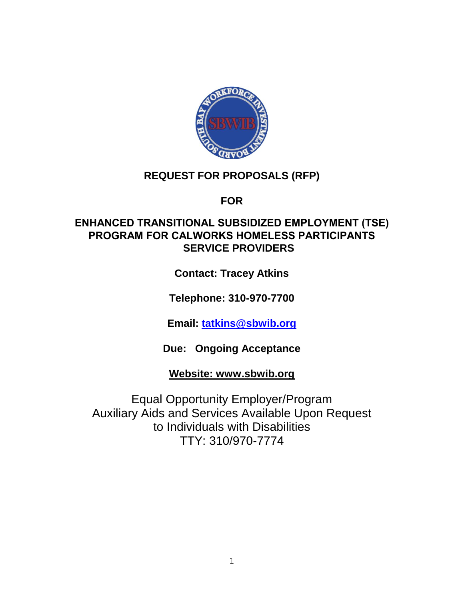

## **REQUEST FOR PROPOSALS (RFP)**

**FOR**

## **ENHANCED TRANSITIONAL SUBSIDIZED EMPLOYMENT (TSE) PROGRAM FOR CALWORKS HOMELESS PARTICIPANTS SERVICE PROVIDERS**

**Contact: Tracey Atkins**

**Telephone: 310-970-7700**

**Email: [tatkins@sbwib.org](mailto:tatkins@sbwib.org)**

**Due: Ongoing Acceptance** 

**Website: www.sbwib.org**

Equal Opportunity Employer/Program Auxiliary Aids and Services Available Upon Request to Individuals with Disabilities TTY: 310/970-7774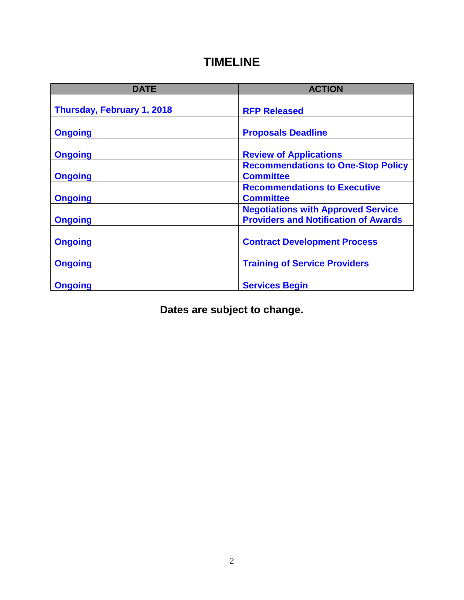## **TIMELINE**

| <b>DATE</b>                | <b>ACTION</b>                                                                            |
|----------------------------|------------------------------------------------------------------------------------------|
| Thursday, February 1, 2018 | <b>RFP Released</b>                                                                      |
| <b>Ongoing</b>             | <b>Proposals Deadline</b>                                                                |
| <b>Ongoing</b>             | <b>Review of Applications</b>                                                            |
| <b>Ongoing</b>             | <b>Recommendations to One-Stop Policy</b><br><b>Committee</b>                            |
| <b>Ongoing</b>             | <b>Recommendations to Executive</b><br><b>Committee</b>                                  |
| <b>Ongoing</b>             | <b>Negotiations with Approved Service</b><br><b>Providers and Notification of Awards</b> |
| <b>Ongoing</b>             | <b>Contract Development Process</b>                                                      |
| <b>Ongoing</b>             | <b>Training of Service Providers</b>                                                     |
| <b>Ongoing</b>             | <b>Services Begin</b>                                                                    |

**Dates are subject to change.**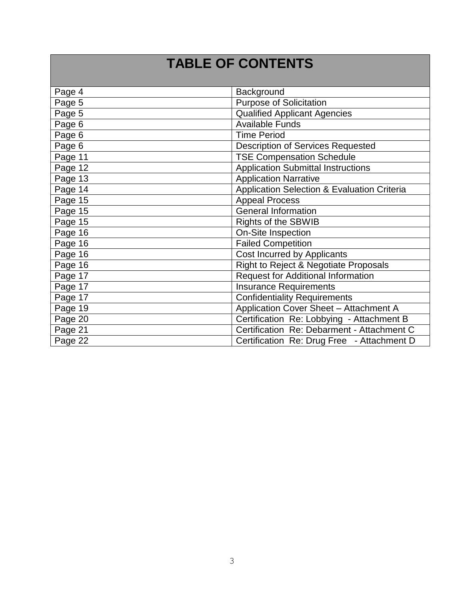# **TABLE OF CONTENTS**

| Page 4  | Background                                  |
|---------|---------------------------------------------|
| Page 5  | <b>Purpose of Solicitation</b>              |
| Page 5  | <b>Qualified Applicant Agencies</b>         |
| Page 6  | <b>Available Funds</b>                      |
| Page 6  | <b>Time Period</b>                          |
| Page 6  | <b>Description of Services Requested</b>    |
| Page 11 | <b>TSE Compensation Schedule</b>            |
| Page 12 | <b>Application Submittal Instructions</b>   |
| Page 13 | <b>Application Narrative</b>                |
| Page 14 | Application Selection & Evaluation Criteria |
| Page 15 | <b>Appeal Process</b>                       |
| Page 15 | <b>General Information</b>                  |
| Page 15 | <b>Rights of the SBWIB</b>                  |
| Page 16 | <b>On-Site Inspection</b>                   |
| Page 16 | <b>Failed Competition</b>                   |
| Page 16 | Cost Incurred by Applicants                 |
| Page 16 | Right to Reject & Negotiate Proposals       |
| Page 17 | <b>Request for Additional Information</b>   |
| Page 17 | <b>Insurance Requirements</b>               |
| Page 17 | <b>Confidentiality Requirements</b>         |
| Page 19 | Application Cover Sheet - Attachment A      |
| Page 20 | Certification Re: Lobbying - Attachment B   |
| Page 21 | Certification Re: Debarment - Attachment C  |
| Page 22 | Certification Re: Drug Free - Attachment D  |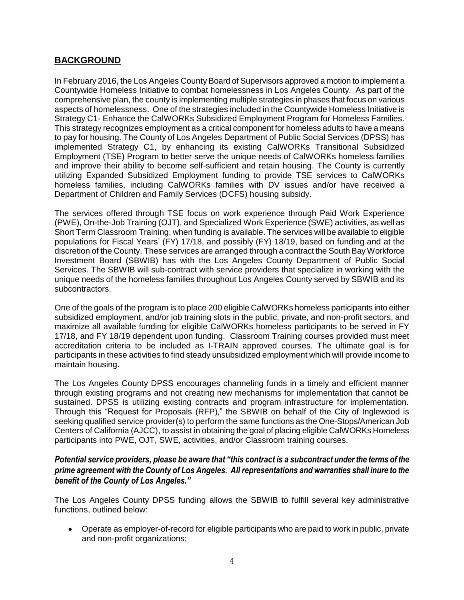## **BACKGROUND**

In February 2016, the Los Angeles County Board of Supervisors approved a motion to implement a Countywide Homeless Initiative to combat homelessness in Los Angeles County. As part of the comprehensive plan, the county is implementing multiple strategies in phases that focus on various aspects of homelessness. One of the strategies included in the Countywide Homeless Initiative is Strategy C1- Enhance the CalWORKs Subsidized Employment Program for Homeless Families. This strategy recognizes employment as a critical component for homeless adults to have a means to pay for housing. The County of Los Angeles Department of Public Social Services (DPSS) has implemented Strategy C1, by enhancing its existing CalWORKs Transitional Subsidized Employment (TSE) Program to better serve the unique needs of CalWORKs homeless families and improve their ability to become self-sufficient and retain housing. The County is currently utilizing Expanded Subsidized Employment funding to provide TSE services to CalWORKs homeless families, including CalWORKs families with DV issues and/or have received a Department of Children and Family Services (DCFS) housing subsidy.

The services offered through TSE focus on work experience through Paid Work Experience (PWE), On-the-Job Training (OJT), and Specialized Work Experience (SWE) activities, as well as Short Term Classroom Training, when funding is available. The services will be available to eligible populations for Fiscal Years' (FY) 17/18, and possibly (FY) 18/19, based on funding and at the discretion of the County. These services are arranged through a contract the South Bay Workforce Investment Board (SBWIB) has with the Los Angeles County Department of Public Social Services. The SBWIB will sub-contract with service providers that specialize in working with the unique needs of the homeless families throughout Los Angeles County served by SBWIB and its subcontractors.

One of the goals of the program is to place 200 eligible CalWORKs homeless participants into either subsidized employment, and/or job training slots in the public, private, and non-profit sectors, and maximize all available funding for eligible CalWORKs homeless participants to be served in FY 17/18, and FY 18/19 dependent upon funding. Classroom Training courses provided must meet accreditation criteria to be included as I-TRAIN approved courses. The ultimate goal is for participants in these activities to find steady unsubsidized employment which will provide income to maintain housing.

The Los Angeles County DPSS encourages channeling funds in a timely and efficient manner through existing programs and not creating new mechanisms for implementation that cannot be sustained. DPSS is utilizing existing contracts and program infrastructure for implementation. Through this "Request for Proposals (RFP)," the SBWIB on behalf of the City of Inglewood is seeking qualified service provider(s) to perform the same functions as the One-Stops/American Job Centers of California (AJCC), to assist in obtaining the goal of placing eligible CalWORKs Homeless participants into PWE, OJT, SWE, activities, and/or Classroom training courses.

#### *Potential service providers, please be aware that "this contract is a subcontract under the terms of the prime agreement with the County of Los Angeles. All representations and warranties shall inure to the benefit of the County of Los Angeles."*

The Los Angeles County DPSS funding allows the SBWIB to fulfill several key administrative functions, outlined below:

 Operate as employer-of-record for eligible participants who are paid to work in public, private and non-profit organizations;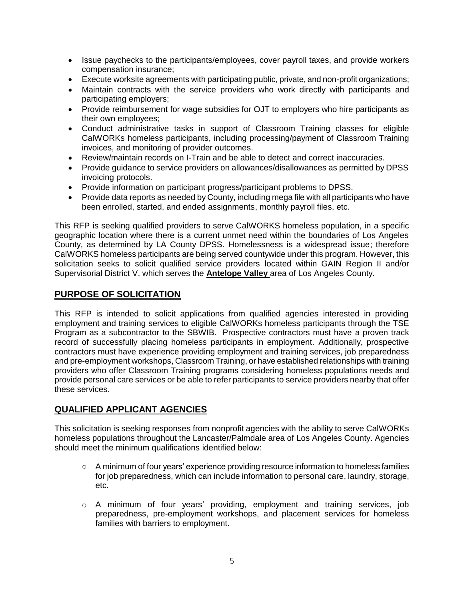- Issue paychecks to the participants/employees, cover payroll taxes, and provide workers compensation insurance;
- Execute worksite agreements with participating public, private, and non-profit organizations;
- Maintain contracts with the service providers who work directly with participants and participating employers;
- Provide reimbursement for wage subsidies for OJT to employers who hire participants as their own employees;
- Conduct administrative tasks in support of Classroom Training classes for eligible CalWORKs homeless participants, including processing/payment of Classroom Training invoices, and monitoring of provider outcomes.
- Review/maintain records on I-Train and be able to detect and correct inaccuracies.
- Provide guidance to service providers on allowances/disallowances as permitted by DPSS invoicing protocols.
- Provide information on participant progress/participant problems to DPSS.
- Provide data reports as needed by County, including mega file with all participants who have been enrolled, started, and ended assignments, monthly payroll files, etc.

This RFP is seeking qualified providers to serve CalWORKS homeless population, in a specific geographic location where there is a current unmet need within the boundaries of Los Angeles County, as determined by LA County DPSS. Homelessness is a widespread issue; therefore CalWORKS homeless participants are being served countywide under this program. However, this solicitation seeks to solicit qualified service providers located within GAIN Region II and/or Supervisorial District V, which serves the **Antelope Valley** area of Los Angeles County.

#### **PURPOSE OF SOLICITATION**

This RFP is intended to solicit applications from qualified agencies interested in providing employment and training services to eligible CalWORKs homeless participants through the TSE Program as a subcontractor to the SBWIB. Prospective contractors must have a proven track record of successfully placing homeless participants in employment. Additionally, prospective contractors must have experience providing employment and training services, job preparedness and pre-employment workshops, Classroom Training, or have established relationships with training providers who offer Classroom Training programs considering homeless populations needs and provide personal care services or be able to refer participants to service providers nearby that offer these services.

## **QUALIFIED APPLICANT AGENCIES**

This solicitation is seeking responses from nonprofit agencies with the ability to serve CalWORKs homeless populations throughout the Lancaster/Palmdale area of Los Angeles County. Agencies should meet the minimum qualifications identified below:

- A minimum of four years' experience providing resource information to homeless families for job preparedness, which can include information to personal care, laundry, storage, etc.
- o A minimum of four years' providing, employment and training services, job preparedness, pre-employment workshops, and placement services for homeless families with barriers to employment.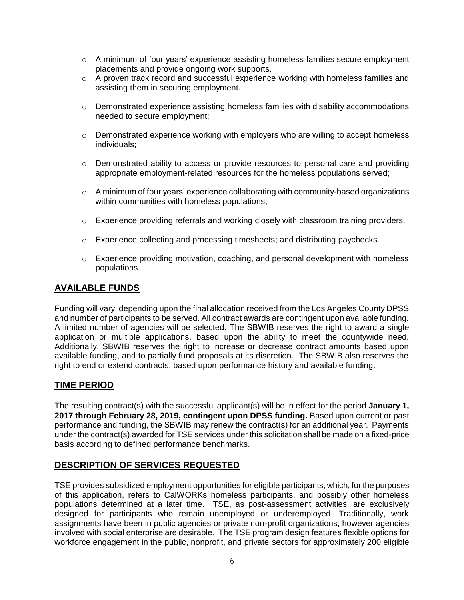- $\circ$  A minimum of four years' experience assisting homeless families secure employment placements and provide ongoing work supports.
- o A proven track record and successful experience working with homeless families and assisting them in securing employment.
- $\circ$  Demonstrated experience assisting homeless families with disability accommodations needed to secure employment;
- $\circ$  Demonstrated experience working with employers who are willing to accept homeless individuals;
- $\circ$  Demonstrated ability to access or provide resources to personal care and providing appropriate employment-related resources for the homeless populations served;
- $\circ$  A minimum of four years' experience collaborating with community-based organizations within communities with homeless populations;
- o Experience providing referrals and working closely with classroom training providers.
- $\circ$  Experience collecting and processing timesheets; and distributing paychecks.
- o Experience providing motivation, coaching, and personal development with homeless populations.

#### **AVAILABLE FUNDS**

Funding will vary, depending upon the final allocation received from the Los Angeles County DPSS and number of participants to be served. All contract awards are contingent upon available funding. A limited number of agencies will be selected. The SBWIB reserves the right to award a single application or multiple applications, based upon the ability to meet the countywide need. Additionally, SBWIB reserves the right to increase or decrease contract amounts based upon available funding, and to partially fund proposals at its discretion. The SBWIB also reserves the right to end or extend contracts, based upon performance history and available funding.

#### **TIME PERIOD**

The resulting contract(s) with the successful applicant(s) will be in effect for the period **January 1, 2017 through February 28, 2019, contingent upon DPSS funding.** Based upon current or past performance and funding, the SBWIB may renew the contract(s) for an additional year. Payments under the contract(s) awarded for TSE services under this solicitation shall be made on a fixed-price basis according to defined performance benchmarks.

#### **DESCRIPTION OF SERVICES REQUESTED**

TSE provides subsidized employment opportunities for eligible participants, which, for the purposes of this application, refers to CalWORKs homeless participants, and possibly other homeless populations determined at a later time. TSE, as post-assessment activities, are exclusively designed for participants who remain unemployed or underemployed. Traditionally, work assignments have been in public agencies or private non-profit organizations; however agencies involved with social enterprise are desirable. The TSE program design features flexible options for workforce engagement in the public, nonprofit, and private sectors for approximately 200 eligible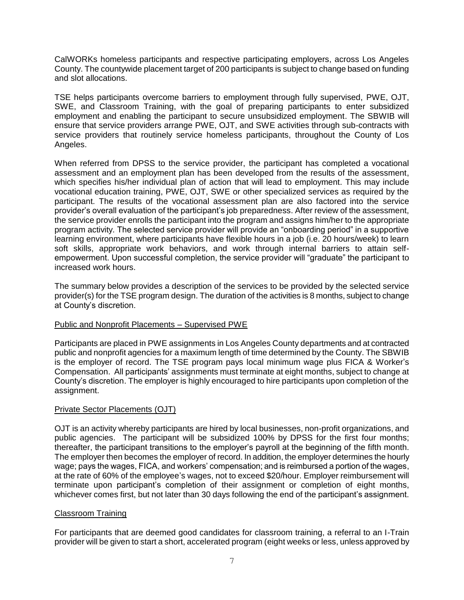CalWORKs homeless participants and respective participating employers, across Los Angeles County. The countywide placement target of 200 participants is subject to change based on funding and slot allocations.

TSE helps participants overcome barriers to employment through fully supervised, PWE, OJT, SWE, and Classroom Training, with the goal of preparing participants to enter subsidized employment and enabling the participant to secure unsubsidized employment. The SBWIB will ensure that service providers arrange PWE, OJT, and SWE activities through sub-contracts with service providers that routinely service homeless participants, throughout the County of Los Angeles.

When referred from DPSS to the service provider, the participant has completed a vocational assessment and an employment plan has been developed from the results of the assessment, which specifies his/her individual plan of action that will lead to employment. This may include vocational education training, PWE, OJT, SWE or other specialized services as required by the participant. The results of the vocational assessment plan are also factored into the service provider's overall evaluation of the participant's job preparedness. After review of the assessment, the service provider enrolls the participant into the program and assigns him/her to the appropriate program activity. The selected service provider will provide an "onboarding period" in a supportive learning environment, where participants have flexible hours in a job (i.e. 20 hours/week) to learn soft skills, appropriate work behaviors, and work through internal barriers to attain selfempowerment. Upon successful completion, the service provider will "graduate" the participant to increased work hours.

The summary below provides a description of the services to be provided by the selected service provider(s) for the TSE program design. The duration of the activities is 8 months, subject to change at County's discretion.

#### Public and Nonprofit Placements – Supervised PWE

Participants are placed in PWE assignments in Los Angeles County departments and at contracted public and nonprofit agencies for a maximum length of time determined by the County. The SBWIB is the employer of record. The TSE program pays local minimum wage plus FICA & Worker's Compensation. All participants' assignments must terminate at eight months, subject to change at County's discretion. The employer is highly encouraged to hire participants upon completion of the assignment.

#### Private Sector Placements (OJT)

OJT is an activity whereby participants are hired by local businesses, non-profit organizations, and public agencies. The participant will be subsidized 100% by DPSS for the first four months; thereafter, the participant transitions to the employer's payroll at the beginning of the fifth month. The employer then becomes the employer of record. In addition, the employer determines the hourly wage; pays the wages, FICA, and workers' compensation; and is reimbursed a portion of the wages, at the rate of 60% of the employee's wages, not to exceed \$20/hour. Employer reimbursement will terminate upon participant's completion of their assignment or completion of eight months, whichever comes first, but not later than 30 days following the end of the participant's assignment.

#### Classroom Training

For participants that are deemed good candidates for classroom training, a referral to an I-Train provider will be given to start a short, accelerated program (eight weeks or less, unless approved by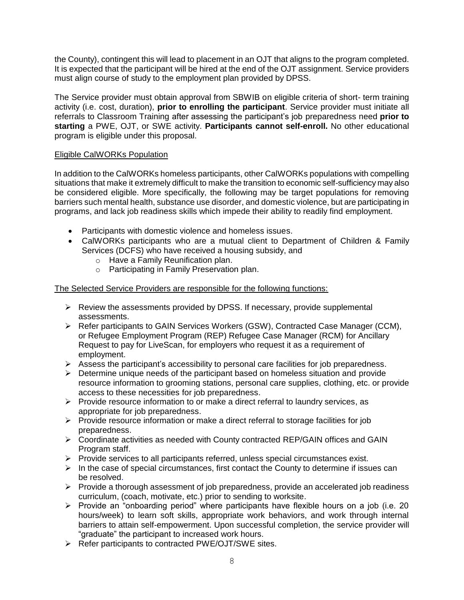the County), contingent this will lead to placement in an OJT that aligns to the program completed. It is expected that the participant will be hired at the end of the OJT assignment. Service providers must align course of study to the employment plan provided by DPSS.

The Service provider must obtain approval from SBWIB on eligible criteria of short- term training activity (i.e. cost, duration), **prior to enrolling the participant**. Service provider must initiate all referrals to Classroom Training after assessing the participant's job preparedness need **prior to starting** a PWE, OJT, or SWE activity. **Participants cannot self-enroll.** No other educational program is eligible under this proposal.

#### Eligible CalWORKs Population

In addition to the CalWORKs homeless participants, other CalWORKs populations with compelling situations that make it extremely difficult to make the transition to economic self-sufficiency may also be considered eligible. More specifically, the following may be target populations for removing barriers such mental health, substance use disorder, and domestic violence, but are participating in programs, and lack job readiness skills which impede their ability to readily find employment.

- Participants with domestic violence and homeless issues.
- CalWORKs participants who are a mutual client to Department of Children & Family Services (DCFS) who have received a housing subsidy, and
	- o Have a Family Reunification plan.
	- o Participating in Family Preservation plan.

The Selected Service Providers are responsible for the following functions:

- $\triangleright$  Review the assessments provided by DPSS. If necessary, provide supplemental assessments.
- $\triangleright$  Refer participants to GAIN Services Workers (GSW), Contracted Case Manager (CCM), or Refugee Employment Program (REP) Refugee Case Manager (RCM) for Ancillary Request to pay for LiveScan, for employers who request it as a requirement of employment.
- $\triangleright$  Assess the participant's accessibility to personal care facilities for job preparedness.
- $\triangleright$  Determine unique needs of the participant based on homeless situation and provide resource information to grooming stations, personal care supplies, clothing, etc. or provide access to these necessities for job preparedness.
- $\triangleright$  Provide resource information to or make a direct referral to laundry services, as appropriate for job preparedness.
- $\triangleright$  Provide resource information or make a direct referral to storage facilities for job preparedness.
- $\triangleright$  Coordinate activities as needed with County contracted REP/GAIN offices and GAIN Program staff.
- $\triangleright$  Provide services to all participants referred, unless special circumstances exist.
- $\triangleright$  In the case of special circumstances, first contact the County to determine if issues can be resolved.
- $\triangleright$  Provide a thorough assessment of job preparedness, provide an accelerated job readiness curriculum, (coach, motivate, etc.) prior to sending to worksite.
- $\triangleright$  Provide an "onboarding period" where participants have flexible hours on a job (i.e. 20 hours/week) to learn soft skills, appropriate work behaviors, and work through internal barriers to attain self-empowerment. Upon successful completion, the service provider will "graduate" the participant to increased work hours.
- ▶ Refer participants to contracted PWE/OJT/SWE sites.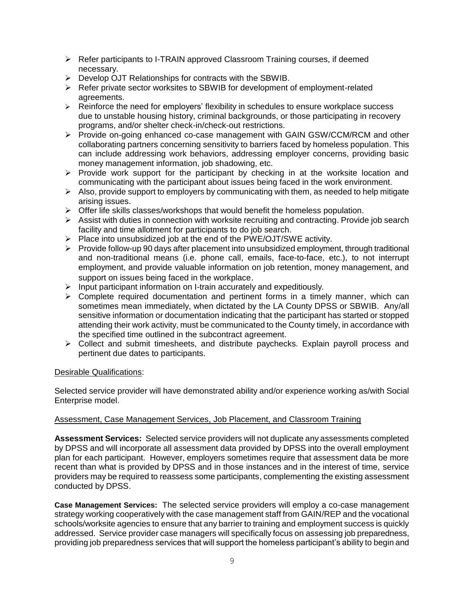- $\triangleright$  Refer participants to I-TRAIN approved Classroom Training courses, if deemed necessary.
- $\triangleright$  Develop OJT Relationships for contracts with the SBWIB.
- $\triangleright$  Refer private sector worksites to SBWIB for development of employment-related agreements.
- $\triangleright$  Reinforce the need for employers' flexibility in schedules to ensure workplace success due to unstable housing history, criminal backgrounds, or those participating in recovery programs, and/or shelter check-in/check-out restrictions.
- $\triangleright$  Provide on-going enhanced co-case management with GAIN GSW/CCM/RCM and other collaborating partners concerning sensitivity to barriers faced by homeless population. This can include addressing work behaviors, addressing employer concerns, providing basic money management information, job shadowing, etc.
- $\triangleright$  Provide work support for the participant by checking in at the worksite location and communicating with the participant about issues being faced in the work environment.
- $\triangleright$  Also, provide support to employers by communicating with them, as needed to help mitigate arising issues.
- $\triangleright$  Offer life skills classes/workshops that would benefit the homeless population.
- $\triangleright$  Assist with duties in connection with worksite recruiting and contracting. Provide job search facility and time allotment for participants to do job search.
- $\triangleright$  Place into unsubsidized job at the end of the PWE/OJT/SWE activity.
- $\triangleright$  Provide follow-up 90 days after placement into unsubsidized employment, through traditional and non-traditional means (i.e. phone call, emails, face-to-face, etc.), to not interrupt employment, and provide valuable information on job retention, money management, and support on issues being faced in the workplace.
- $\triangleright$  Input participant information on I-train accurately and expeditiously.
- $\triangleright$  Complete required documentation and pertinent forms in a timely manner, which can sometimes mean immediately, when dictated by the LA County DPSS or SBWIB. Any/all sensitive information or documentation indicating that the participant has started or stopped attending their work activity, must be communicated to the County timely, in accordance with the specified time outlined in the subcontract agreement.
- $\triangleright$  Collect and submit timesheets, and distribute paychecks. Explain payroll process and pertinent due dates to participants.

#### Desirable Qualifications:

Selected service provider will have demonstrated ability and/or experience working as/with Social Enterprise model.

#### Assessment, Case Management Services, Job Placement, and Classroom Training

**Assessment Services:** Selected service providers will not duplicate any assessments completed by DPSS and will incorporate all assessment data provided by DPSS into the overall employment plan for each participant. However, employers sometimes require that assessment data be more recent than what is provided by DPSS and in those instances and in the interest of time, service providers may be required to reassess some participants, complementing the existing assessment conducted by DPSS.

**Case Management Services:** The selected service providers will employ a co-case management strategy working cooperatively with the case management staff from GAIN/REP and the vocational schools/worksite agencies to ensure that any barrier to training and employment success is quickly addressed. Service provider case managers will specifically focus on assessing job preparedness, providing job preparedness services that will support the homeless participant's ability to begin and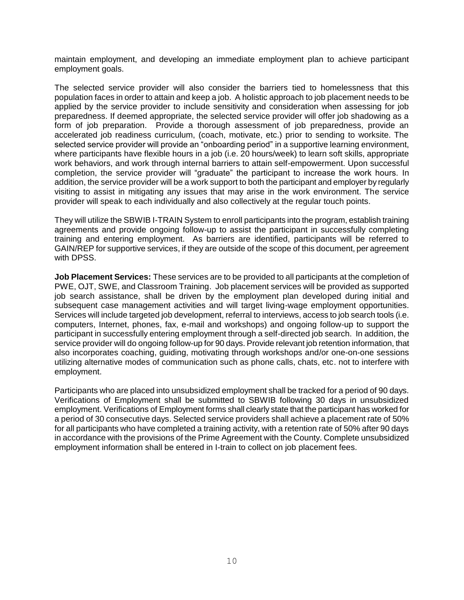maintain employment, and developing an immediate employment plan to achieve participant employment goals.

The selected service provider will also consider the barriers tied to homelessness that this population faces in order to attain and keep a job. A holistic approach to job placement needs to be applied by the service provider to include sensitivity and consideration when assessing for job preparedness. If deemed appropriate, the selected service provider will offer job shadowing as a form of job preparation. Provide a thorough assessment of job preparedness, provide an accelerated job readiness curriculum, (coach, motivate, etc.) prior to sending to worksite. The selected service provider will provide an "onboarding period" in a supportive learning environment, where participants have flexible hours in a job (i.e. 20 hours/week) to learn soft skills, appropriate work behaviors, and work through internal barriers to attain self-empowerment. Upon successful completion, the service provider will "graduate" the participant to increase the work hours. In addition, the service provider will be a work support to both the participant and employer by regularly visiting to assist in mitigating any issues that may arise in the work environment. The service provider will speak to each individually and also collectively at the regular touch points.

They will utilize the SBWIB I-TRAIN System to enroll participants into the program, establish training agreements and provide ongoing follow-up to assist the participant in successfully completing training and entering employment. As barriers are identified, participants will be referred to GAIN/REP for supportive services, if they are outside of the scope of this document, per agreement with DPSS.

**Job Placement Services:** These services are to be provided to all participants at the completion of PWE, OJT, SWE, and Classroom Training. Job placement services will be provided as supported job search assistance, shall be driven by the employment plan developed during initial and subsequent case management activities and will target living-wage employment opportunities. Services will include targeted job development, referral to interviews, access to job search tools (i.e. computers, Internet, phones, fax, e-mail and workshops) and ongoing follow-up to support the participant in successfully entering employment through a self-directed job search. In addition, the service provider will do ongoing follow-up for 90 days. Provide relevant job retention information, that also incorporates coaching, guiding, motivating through workshops and/or one-on-one sessions utilizing alternative modes of communication such as phone calls, chats, etc. not to interfere with employment.

Participants who are placed into unsubsidized employment shall be tracked for a period of 90 days. Verifications of Employment shall be submitted to SBWIB following 30 days in unsubsidized employment. Verifications of Employment forms shall clearly state that the participant has worked for a period of 30 consecutive days. Selected service providers shall achieve a placement rate of 50% for all participants who have completed a training activity, with a retention rate of 50% after 90 days in accordance with the provisions of the Prime Agreement with the County. Complete unsubsidized employment information shall be entered in I-train to collect on job placement fees.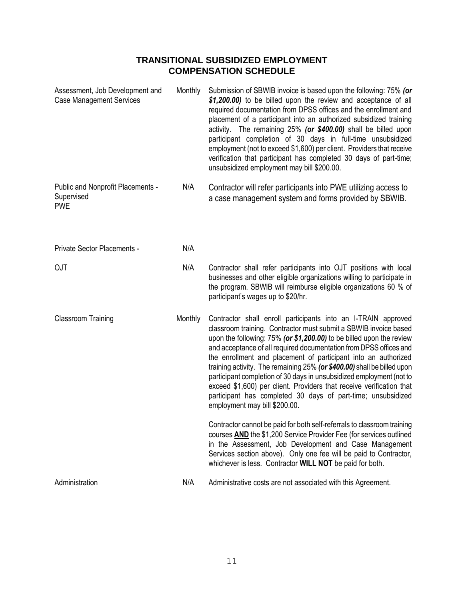## **TRANSITIONAL SUBSIDIZED EMPLOYMENT COMPENSATION SCHEDULE**

| Assessment, Job Development and<br><b>Case Management Services</b> | Monthly | Submission of SBWIB invoice is based upon the following: 75% (or<br>\$1,200.00) to be billed upon the review and acceptance of all<br>required documentation from DPSS offices and the enrollment and<br>placement of a participant into an authorized subsidized training<br>activity. The remaining 25% (or \$400.00) shall be billed upon<br>participant completion of 30 days in full-time unsubsidized<br>employment (not to exceed \$1,600) per client. Providers that receive<br>verification that participant has completed 30 days of part-time;<br>unsubsidized employment may bill \$200.00.                                                                       |
|--------------------------------------------------------------------|---------|-------------------------------------------------------------------------------------------------------------------------------------------------------------------------------------------------------------------------------------------------------------------------------------------------------------------------------------------------------------------------------------------------------------------------------------------------------------------------------------------------------------------------------------------------------------------------------------------------------------------------------------------------------------------------------|
| Public and Nonprofit Placements -<br>Supervised<br><b>PWE</b>      | N/A     | Contractor will refer participants into PWE utilizing access to<br>a case management system and forms provided by SBWIB.                                                                                                                                                                                                                                                                                                                                                                                                                                                                                                                                                      |
| Private Sector Placements -                                        | N/A     |                                                                                                                                                                                                                                                                                                                                                                                                                                                                                                                                                                                                                                                                               |
| OJT                                                                | N/A     | Contractor shall refer participants into OJT positions with local<br>businesses and other eligible organizations willing to participate in<br>the program. SBWIB will reimburse eligible organizations 60 % of<br>participant's wages up to \$20/hr.                                                                                                                                                                                                                                                                                                                                                                                                                          |
| <b>Classroom Training</b>                                          | Monthly | Contractor shall enroll participants into an I-TRAIN approved<br>classroom training. Contractor must submit a SBWIB invoice based<br>upon the following: 75% (or \$1,200.00) to be billed upon the review<br>and acceptance of all required documentation from DPSS offices and<br>the enrollment and placement of participant into an authorized<br>training activity. The remaining 25% (or \$400.00) shall be billed upon<br>participant completion of 30 days in unsubsidized employment (not to<br>exceed \$1,600) per client. Providers that receive verification that<br>participant has completed 30 days of part-time; unsubsidized<br>employment may bill \$200.00. |
|                                                                    |         | Contractor cannot be paid for both self-referrals to classroom training<br>courses AND the \$1,200 Service Provider Fee (for services outlined<br>in the Assessment, Job Development and Case Management<br>Services section above). Only one fee will be paid to Contractor,<br>whichever is less. Contractor WILL NOT be paid for both.                                                                                                                                                                                                                                                                                                                                     |
| Administration                                                     | N/A     | Administrative costs are not associated with this Agreement.                                                                                                                                                                                                                                                                                                                                                                                                                                                                                                                                                                                                                  |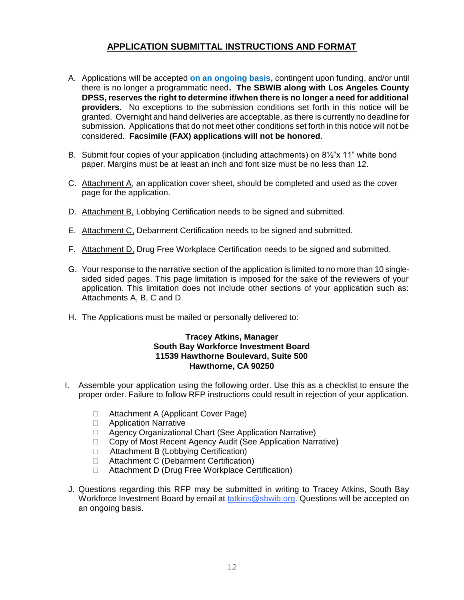## **APPLICATION SUBMITTAL INSTRUCTIONS AND FORMAT**

- A. Applications will be accepted **on an ongoing basis,** contingent upon funding, and/or until there is no longer a programmatic need**. The SBWIB along with Los Angeles County DPSS, reserves the right to determine if/when there is no longer a need for additional providers.** No exceptions to the submission conditions set forth in this notice will be granted. Overnight and hand deliveries are acceptable, as there is currently no deadline for submission. Applications that do not meet other conditions set forth in this notice will not be considered. **Facsimile (FAX) applications will not be honored**.
- B. Submit four copies of your application (including attachments) on 8½"x 11" white bond paper. Margins must be at least an inch and font size must be no less than 12.
- C. Attachment A, an application cover sheet, should be completed and used as the cover page for the application.
- D. Attachment B, Lobbying Certification needs to be signed and submitted.
- E. Attachment C, Debarment Certification needs to be signed and submitted.
- F. Attachment D, Drug Free Workplace Certification needs to be signed and submitted.
- G. Your response to the narrative section of the application is limited to no more than 10 singlesided sided pages. This page limitation is imposed for the sake of the reviewers of your application. This limitation does not include other sections of your application such as: Attachments A, B, C and D.
- H. The Applications must be mailed or personally delivered to:

#### **Tracey Atkins, Manager South Bay Workforce Investment Board 11539 Hawthorne Boulevard, Suite 500 Hawthorne, CA 90250**

- I. Assemble your application using the following order. Use this as a checklist to ensure the proper order. Failure to follow RFP instructions could result in rejection of your application.
	- □ Attachment A (Applicant Cover Page)
	- **D** Application Narrative
	- □ Agency Organizational Chart (See Application Narrative)
	- □ Copy of Most Recent Agency Audit (See Application Narrative)
	- □ Attachment B (Lobbying Certification)
	- □ Attachment C (Debarment Certification)
	- □ Attachment D (Drug Free Workplace Certification)
- J. Questions regarding this RFP may be submitted in writing to Tracey Atkins, South Bay Workforce Investment Board by email at [tatkins@sbwib.org.](mailto:tatkins@sbwib.org) Questions will be accepted on an ongoing basis.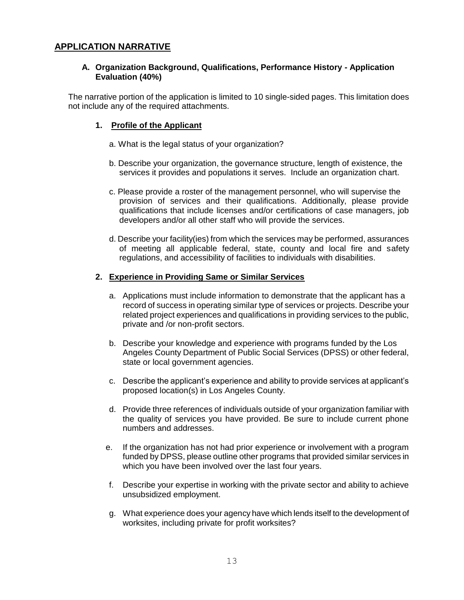#### **APPLICATION NARRATIVE**

#### **A. Organization Background, Qualifications, Performance History - Application Evaluation (40%)**

The narrative portion of the application is limited to 10 single-sided pages. This limitation does not include any of the required attachments.

#### **1. Profile of the Applicant**

- a. What is the legal status of your organization?
- b. Describe your organization, the governance structure, length of existence, the services it provides and populations it serves. Include an organization chart.
- c. Please provide a roster of the management personnel, who will supervise the provision of services and their qualifications. Additionally, please provide qualifications that include licenses and/or certifications of case managers, job developers and/or all other staff who will provide the services.
- d. Describe your facility(ies) from which the services may be performed, assurances of meeting all applicable federal, state, county and local fire and safety regulations, and accessibility of facilities to individuals with disabilities.

#### **2. Experience in Providing Same or Similar Services**

- a. Applications must include information to demonstrate that the applicant has a record of success in operating similar type of services or projects. Describe your related project experiences and qualifications in providing services to the public, private and /or non-profit sectors.
- b. Describe your knowledge and experience with programs funded by the Los Angeles County Department of Public Social Services (DPSS) or other federal, state or local government agencies.
- c. Describe the applicant's experience and ability to provide services at applicant's proposed location(s) in Los Angeles County.
- d. Provide three references of individuals outside of your organization familiar with the quality of services you have provided. Be sure to include current phone numbers and addresses.
- e. If the organization has not had prior experience or involvement with a program funded by DPSS, please outline other programs that provided similar services in which you have been involved over the last four years.
- f. Describe your expertise in working with the private sector and ability to achieve unsubsidized employment.
- g. What experience does your agency have which lends itself to the development of worksites, including private for profit worksites?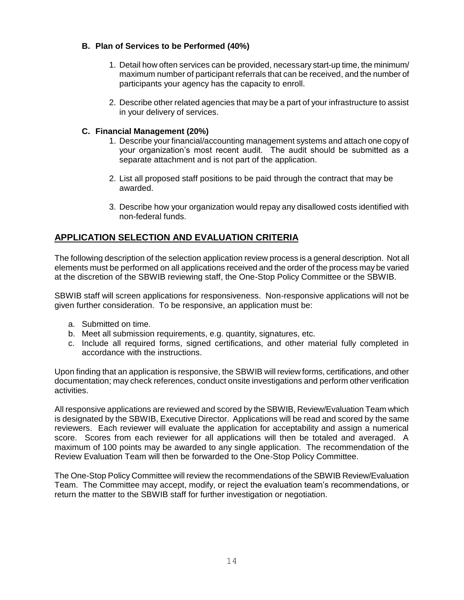#### **B. Plan of Services to be Performed (40%)**

- 1. Detail how often services can be provided, necessary start-up time, the minimum/ maximum number of participant referrals that can be received, and the number of participants your agency has the capacity to enroll.
- 2. Describe other related agencies that may be a part of your infrastructure to assist in your delivery of services.

#### **C. Financial Management (20%)**

- 1. Describe your financial/accounting management systems and attach one copy of your organization's most recent audit. The audit should be submitted as a separate attachment and is not part of the application.
- 2. List all proposed staff positions to be paid through the contract that may be awarded.
- 3. Describe how your organization would repay any disallowed costs identified with non-federal funds.

## **APPLICATION SELECTION AND EVALUATION CRITERIA**

The following description of the selection application review process is a general description. Not all elements must be performed on all applications received and the order of the process may be varied at the discretion of the SBWIB reviewing staff, the One-Stop Policy Committee or the SBWIB.

SBWIB staff will screen applications for responsiveness. Non-responsive applications will not be given further consideration. To be responsive, an application must be:

- a. Submitted on time.
- b. Meet all submission requirements, e.g. quantity, signatures, etc.
- c. Include all required forms, signed certifications, and other material fully completed in accordance with the instructions.

Upon finding that an application is responsive, the SBWIB will review forms, certifications, and other documentation; may check references, conduct onsite investigations and perform other verification activities.

All responsive applications are reviewed and scored by the SBWIB, Review/Evaluation Team which is designated by the SBWIB, Executive Director. Applications will be read and scored by the same reviewers. Each reviewer will evaluate the application for acceptability and assign a numerical score. Scores from each reviewer for all applications will then be totaled and averaged. A maximum of 100 points may be awarded to any single application. The recommendation of the Review Evaluation Team will then be forwarded to the One-Stop Policy Committee.

The One-Stop Policy Committee will review the recommendations of the SBWIB Review/Evaluation Team. The Committee may accept, modify, or reject the evaluation team's recommendations, or return the matter to the SBWIB staff for further investigation or negotiation.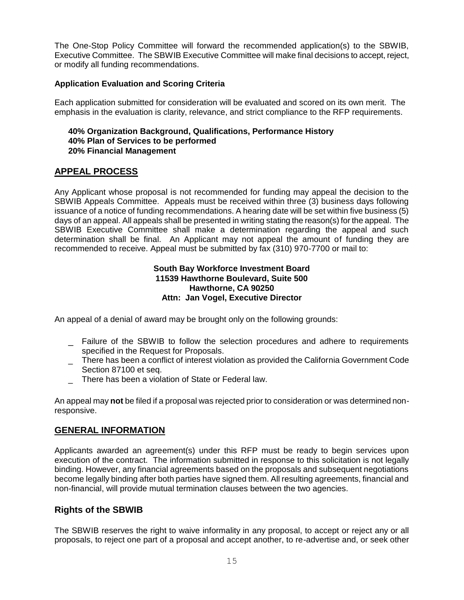The One-Stop Policy Committee will forward the recommended application(s) to the SBWIB, Executive Committee. The SBWIB Executive Committee will make final decisions to accept, reject, or modify all funding recommendations.

#### **Application Evaluation and Scoring Criteria**

Each application submitted for consideration will be evaluated and scored on its own merit. The emphasis in the evaluation is clarity, relevance, and strict compliance to the RFP requirements.

#### **40% Organization Background, Qualifications, Performance History 40% Plan of Services to be performed 20% Financial Management**

#### **APPEAL PROCESS**

Any Applicant whose proposal is not recommended for funding may appeal the decision to the SBWIB Appeals Committee. Appeals must be received within three (3) business days following issuance of a notice of funding recommendations. A hearing date will be set within five business (5) days of an appeal. All appeals shall be presented in writing stating the reason(s) for the appeal. The SBWIB Executive Committee shall make a determination regarding the appeal and such determination shall be final. An Applicant may not appeal the amount of funding they are recommended to receive. Appeal must be submitted by fax (310) 970-7700 or mail to:

#### **South Bay Workforce Investment Board 11539 Hawthorne Boulevard, Suite 500 Hawthorne, CA 90250 Attn: Jan Vogel, Executive Director**

An appeal of a denial of award may be brought only on the following grounds:

- \_ Failure of the SBWIB to follow the selection procedures and adhere to requirements specified in the Request for Proposals.
- $\qquad \qquad -$  There has been a conflict of interest violation as provided the California Government Code Section 87100 et seq.
- \_ There has been a violation of State or Federal law.

An appeal may **not** be filed if a proposal was rejected prior to consideration or was determined nonresponsive.

#### **GENERAL INFORMATION**

Applicants awarded an agreement(s) under this RFP must be ready to begin services upon execution of the contract. The information submitted in response to this solicitation is not legally binding. However, any financial agreements based on the proposals and subsequent negotiations become legally binding after both parties have signed them. All resulting agreements, financial and non-financial, will provide mutual termination clauses between the two agencies.

#### **Rights of the SBWIB**

The SBWIB reserves the right to waive informality in any proposal, to accept or reject any or all proposals, to reject one part of a proposal and accept another, to re-advertise and, or seek other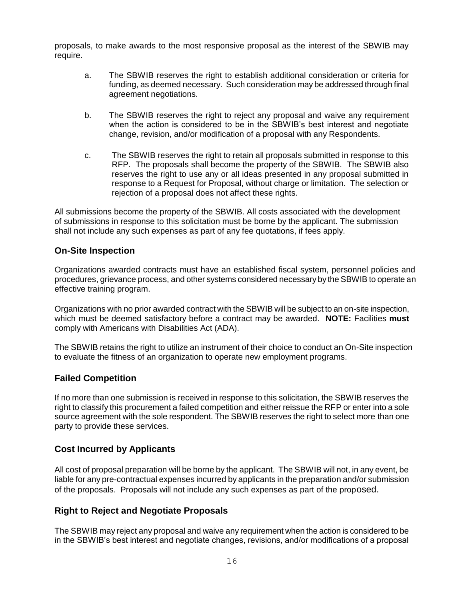proposals, to make awards to the most responsive proposal as the interest of the SBWIB may require.

- a. The SBWIB reserves the right to establish additional consideration or criteria for funding, as deemed necessary. Such consideration may be addressed through final agreement negotiations.
- b. The SBWIB reserves the right to reject any proposal and waive any requirement when the action is considered to be in the SBWIB's best interest and negotiate change, revision, and/or modification of a proposal with any Respondents.
- c. The SBWIB reserves the right to retain all proposals submitted in response to this RFP. The proposals shall become the property of the SBWIB. The SBWIB also reserves the right to use any or all ideas presented in any proposal submitted in response to a Request for Proposal, without charge or limitation. The selection or rejection of a proposal does not affect these rights.

All submissions become the property of the SBWIB. All costs associated with the development of submissions in response to this solicitation must be borne by the applicant. The submission shall not include any such expenses as part of any fee quotations, if fees apply.

#### **On-Site Inspection**

Organizations awarded contracts must have an established fiscal system, personnel policies and procedures, grievance process, and other systems considered necessary by the SBWIB to operate an effective training program.

Organizations with no prior awarded contract with the SBWIB will be subject to an on-site inspection, which must be deemed satisfactory before a contract may be awarded. **NOTE:** Facilities **must** comply with Americans with Disabilities Act (ADA).

The SBWIB retains the right to utilize an instrument of their choice to conduct an On-Site inspection to evaluate the fitness of an organization to operate new employment programs.

## **Failed Competition**

If no more than one submission is received in response to this solicitation, the SBWIB reserves the right to classify this procurement a failed competition and either reissue the RFP or enter into a sole source agreement with the sole respondent. The SBWIB reserves the right to select more than one party to provide these services.

## **Cost Incurred by Applicants**

All cost of proposal preparation will be borne by the applicant. The SBWIB will not, in any event, be liable for any pre-contractual expenses incurred by applicants in the preparation and/or submission of the proposals. Proposals will not include any such expenses as part of the proposed.

#### **Right to Reject and Negotiate Proposals**

The SBWIB may reject any proposal and waive any requirement when the action is considered to be in the SBWIB's best interest and negotiate changes, revisions, and/or modifications of a proposal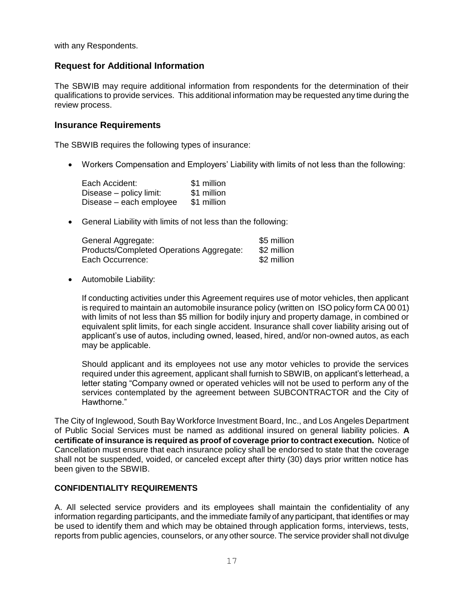with any Respondents.

### **Request for Additional Information**

The SBWIB may require additional information from respondents for the determination of their qualifications to provide services. This additional information may be requested any time during the review process.

#### **Insurance Requirements**

The SBWIB requires the following types of insurance:

Workers Compensation and Employers' Liability with limits of not less than the following:

| Each Accident:          | \$1 million |
|-------------------------|-------------|
| Disease – policy limit: | \$1 million |
| Disease – each employee | \$1 million |

General Liability with limits of not less than the following:

| General Aggregate:                       | \$5 million |
|------------------------------------------|-------------|
| Products/Completed Operations Aggregate: | \$2 million |
| Each Occurrence:                         | \$2 million |

Automobile Liability:

If conducting activities under this Agreement requires use of motor vehicles, then applicant is required to maintain an automobile insurance policy (written on ISO policy form CA 00 01) with limits of not less than \$5 million for bodily injury and property damage, in combined or equivalent split limits, for each single accident. Insurance shall cover liability arising out of applicant's use of autos, including owned, leased, hired, and/or non-owned autos, as each may be applicable.

Should applicant and its employees not use any motor vehicles to provide the services required under this agreement, applicant shall furnish to SBWIB, on applicant's letterhead, a letter stating "Company owned or operated vehicles will not be used to perform any of the services contemplated by the agreement between SUBCONTRACTOR and the City of Hawthorne."

The City of Inglewood, South Bay Workforce Investment Board, Inc., and Los Angeles Department of Public Social Services must be named as additional insured on general liability policies. **A certificate of insurance is required as proof of coverage prior to contract execution.** Notice of Cancellation must ensure that each insurance policy shall be endorsed to state that the coverage shall not be suspended, voided, or canceled except after thirty (30) days prior written notice has been given to the SBWIB.

#### **CONFIDENTIALITY REQUIREMENTS**

A. All selected service providers and its employees shall maintain the confidentiality of any information regarding participants, and the immediate family of any participant, that identifies or may be used to identify them and which may be obtained through application forms, interviews, tests, reports from public agencies, counselors, or any other source. The service provider shall not divulge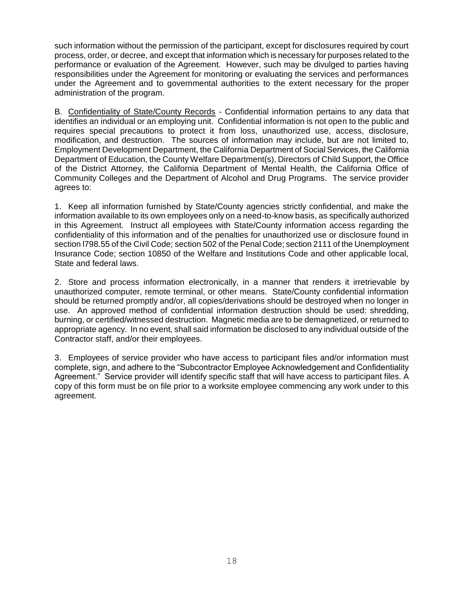such information without the permission of the participant, except for disclosures required by court process, order, or decree, and except that information which is necessary for purposes related to the performance or evaluation of the Agreement. However, such may be divulged to parties having responsibilities under the Agreement for monitoring or evaluating the services and performances under the Agreement and to governmental authorities to the extent necessary for the proper administration of the program.

B. Confidentiality of State/County Records - Confidential information pertains to any data that identifies an individual or an employing unit. Confidential information is not open to the public and requires special precautions to protect it from loss, unauthorized use, access, disclosure, modification, and destruction. The sources of information may include, but are not limited to, Employment Development Department, the California Department of Social Services, the California Department of Education, the County Welfare Department(s), Directors of Child Support, the Office of the District Attorney, the California Department of Mental Health, the California Office of Community Colleges and the Department of Alcohol and Drug Programs. The service provider agrees to:

1. Keep all information furnished by State/County agencies strictly confidential, and make the information available to its own employees only on a need-to-know basis, as specifically authorized in this Agreement. Instruct all employees with State/County information access regarding the confidentiality of this information and of the penalties for unauthorized use or disclosure found in section l798.55 of the Civil Code; section 502 of the Penal Code; section 2111 of the Unemployment Insurance Code; section 10850 of the Welfare and Institutions Code and other applicable local, State and federal laws.

2. Store and process information electronically, in a manner that renders it irretrievable by unauthorized computer, remote terminal, or other means. State/County confidential information should be returned promptly and/or, all copies/derivations should be destroyed when no longer in use. An approved method of confidential information destruction should be used: shredding, burning, or certified/witnessed destruction. Magnetic media are to be demagnetized, or returned to appropriate agency. In no event, shall said information be disclosed to any individual outside of the Contractor staff, and/or their employees.

3. Employees of service provider who have access to participant files and/or information must complete, sign, and adhere to the "Subcontractor Employee Acknowledgement and Confidentiality Agreement." Service provider will identify specific staff that will have access to participant files. A copy of this form must be on file prior to a worksite employee commencing any work under to this agreement.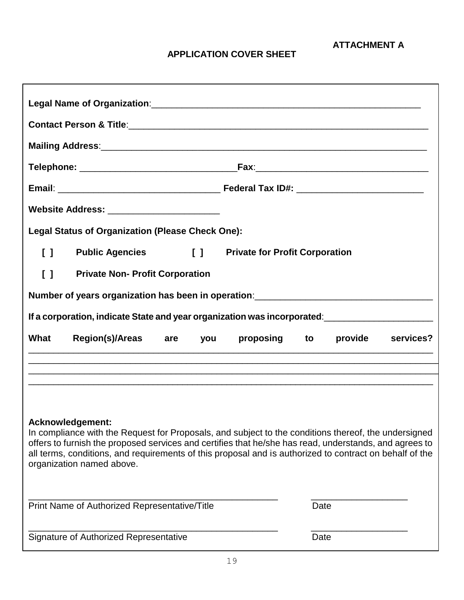**ATTACHMENT A**

## **APPLICATION COVER SHEET**

| Website Address: __________________________                                                            |                                                                                                                                                                                                                                                                                                                           |
|--------------------------------------------------------------------------------------------------------|---------------------------------------------------------------------------------------------------------------------------------------------------------------------------------------------------------------------------------------------------------------------------------------------------------------------------|
| <b>Legal Status of Organization (Please Check One):</b>                                                |                                                                                                                                                                                                                                                                                                                           |
| <b>Public Agencies</b><br>$\begin{bmatrix} 1 \end{bmatrix}$<br>$\begin{smallmatrix}1\end{smallmatrix}$ | <b>Private for Profit Corporation</b>                                                                                                                                                                                                                                                                                     |
| $\begin{smallmatrix}1\end{smallmatrix}$<br><b>Private Non- Profit Corporation</b>                      |                                                                                                                                                                                                                                                                                                                           |
|                                                                                                        | Number of years organization has been in operation: ____________________________                                                                                                                                                                                                                                          |
|                                                                                                        | If a corporation, indicate State and year organization was incorporated:<br><u>If</u> a corporation, indicate State and year organization was incorporated:                                                                                                                                                               |
|                                                                                                        |                                                                                                                                                                                                                                                                                                                           |
| What<br>Region(s)/Areas are you                                                                        | proposing to<br>provide services?                                                                                                                                                                                                                                                                                         |
|                                                                                                        |                                                                                                                                                                                                                                                                                                                           |
|                                                                                                        | ,我们就会在这里的时候,我们就会在这里,我们就会在这里,我们就会在这里,我们就会在这里,我们就会在这里,我们就会在这里,我们就会在这里,我们就会在这里,我们就会                                                                                                                                                                                                                                          |
| Acknowledgement:<br>organization named above.                                                          | In compliance with the Request for Proposals, and subject to the conditions thereof, the undersigned<br>offers to furnish the proposed services and certifies that he/she has read, understands, and agrees to<br>all terms, conditions, and requirements of this proposal and is authorized to contract on behalf of the |
| Print Name of Authorized Representative/Title                                                          | Date                                                                                                                                                                                                                                                                                                                      |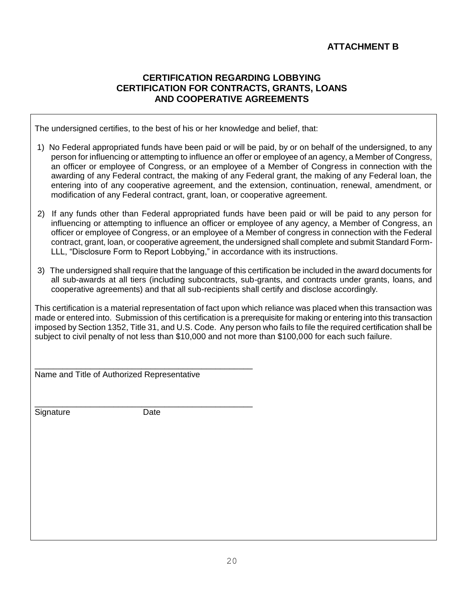## **ATTACHMENT B**

#### **CERTIFICATION REGARDING LOBBYING CERTIFICATION FOR CONTRACTS, GRANTS, LOANS AND COOPERATIVE AGREEMENTS**

The undersigned certifies, to the best of his or her knowledge and belief, that:

- 1) No Federal appropriated funds have been paid or will be paid, by or on behalf of the undersigned, to any person for influencing or attempting to influence an offer or employee of an agency, a Member of Congress, an officer or employee of Congress, or an employee of a Member of Congress in connection with the awarding of any Federal contract, the making of any Federal grant, the making of any Federal loan, the entering into of any cooperative agreement, and the extension, continuation, renewal, amendment, or modification of any Federal contract, grant, loan, or cooperative agreement.
- 2) If any funds other than Federal appropriated funds have been paid or will be paid to any person for influencing or attempting to influence an officer or employee of any agency, a Member of Congress, an officer or employee of Congress, or an employee of a Member of congress in connection with the Federal contract, grant, loan, or cooperative agreement, the undersigned shall complete and submit Standard Form-LLL, "Disclosure Form to Report Lobbying," in accordance with its instructions.
- 3) The undersigned shall require that the language of this certification be included in the award documents for all sub-awards at all tiers (including subcontracts, sub-grants, and contracts under grants, loans, and cooperative agreements) and that all sub-recipients shall certify and disclose accordingly.

This certification is a material representation of fact upon which reliance was placed when this transaction was made or entered into. Submission of this certification is a prerequisite for making or entering into this transaction imposed by Section 1352, Title 31, and U.S. Code. Any person who fails to file the required certification shall be subject to civil penalty of not less than \$10,000 and not more than \$100,000 for each such failure.

Name and Title of Authorized Representative

Signature Date

\_\_\_\_\_\_\_\_\_\_\_\_\_\_\_\_\_\_\_\_\_\_\_\_\_\_\_\_\_\_\_\_\_\_\_\_\_\_\_\_\_\_\_\_\_\_\_

\_\_\_\_\_\_\_\_\_\_\_\_\_\_\_\_\_\_\_\_\_\_\_\_\_\_\_\_\_\_\_\_\_\_\_\_\_\_\_\_\_\_\_\_\_\_\_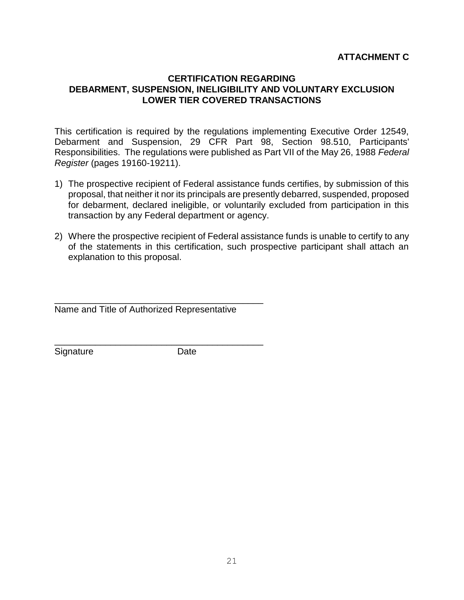### **ATTACHMENT C**

#### **CERTIFICATION REGARDING DEBARMENT, SUSPENSION, INELIGIBILITY AND VOLUNTARY EXCLUSION LOWER TIER COVERED TRANSACTIONS**

This certification is required by the regulations implementing Executive Order 12549, Debarment and Suspension, 29 CFR Part 98, Section 98.510, Participants' Responsibilities. The regulations were published as Part VII of the May 26, 1988 *Federal Register* (pages 19160-19211).

- 1) The prospective recipient of Federal assistance funds certifies, by submission of this proposal, that neither it nor its principals are presently debarred, suspended, proposed for debarment, declared ineligible, or voluntarily excluded from participation in this transaction by any Federal department or agency.
- 2) Where the prospective recipient of Federal assistance funds is unable to certify to any of the statements in this certification, such prospective participant shall attach an explanation to this proposal.

\_\_\_\_\_\_\_\_\_\_\_\_\_\_\_\_\_\_\_\_\_\_\_\_\_\_\_\_\_\_\_\_\_\_\_\_\_\_\_\_\_ Name and Title of Authorized Representative

\_\_\_\_\_\_\_\_\_\_\_\_\_\_\_\_\_\_\_\_\_\_\_\_\_\_\_\_\_\_\_\_\_\_\_\_\_\_\_\_\_

Signature Date